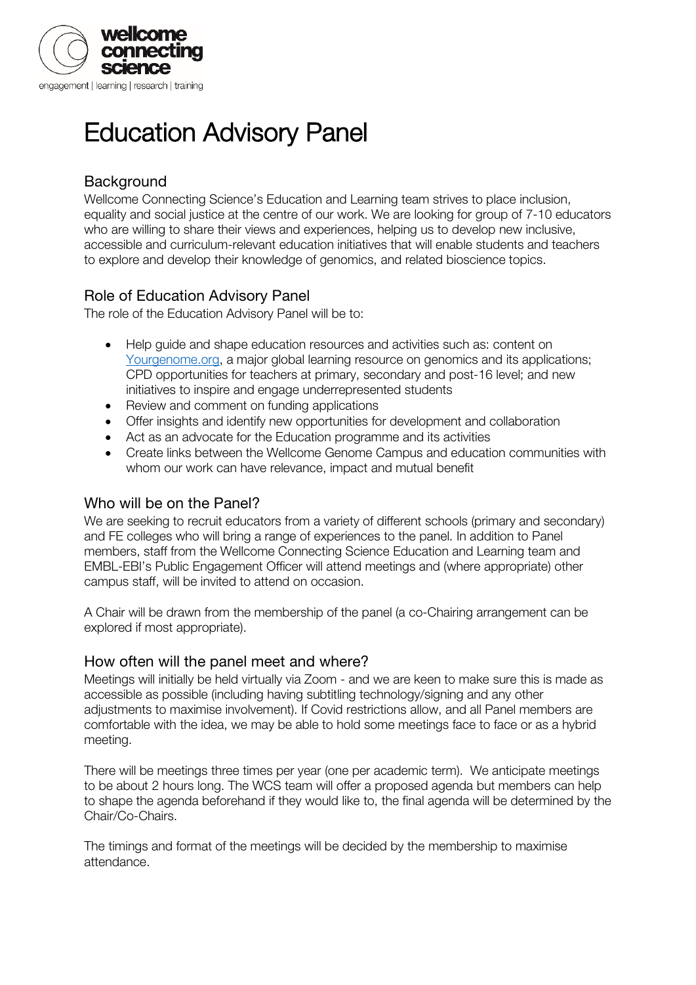

# Education Advisory Panel

# **Background**

Wellcome Connecting Science's Education and Learning team strives to place inclusion, equality and social justice at the centre of our work. We are looking for group of 7-10 educators who are willing to share their views and experiences, helping us to develop new inclusive, accessible and curriculum-relevant education initiatives that will enable students and teachers to explore and develop their knowledge of genomics, and related bioscience topics.

### Role of Education Advisory Panel

The role of the Education Advisory Panel will be to:

- Help guide and shape education resources and activities such as: content on [Yourgenome.org,](http://www.yourgenome.org/) a major global learning resource on genomics and its applications; CPD opportunities for teachers at primary, secondary and post-16 level; and new initiatives to inspire and engage underrepresented students
- Review and comment on funding applications
- Offer insights and identify new opportunities for development and collaboration
- Act as an advocate for the Education programme and its activities
- Create links between the Wellcome Genome Campus and education communities with whom our work can have relevance, impact and mutual benefit

#### Who will be on the Panel?

We are seeking to recruit educators from a variety of different schools (primary and secondary) and FE colleges who will bring a range of experiences to the panel. In addition to Panel members, staff from the Wellcome Connecting Science Education and Learning team and EMBL-EBI's Public Engagement Officer will attend meetings and (where appropriate) other campus staff, will be invited to attend on occasion.

A Chair will be drawn from the membership of the panel (a co-Chairing arrangement can be explored if most appropriate).

#### How often will the panel meet and where?

Meetings will initially be held virtually via Zoom - and we are keen to make sure this is made as accessible as possible (including having subtitling technology/signing and any other adjustments to maximise involvement). If Covid restrictions allow, and all Panel members are comfortable with the idea, we may be able to hold some meetings face to face or as a hybrid meeting.

There will be meetings three times per year (one per academic term). We anticipate meetings to be about 2 hours long. The WCS team will offer a proposed agenda but members can help to shape the agenda beforehand if they would like to, the final agenda will be determined by the Chair/Co-Chairs.

The timings and format of the meetings will be decided by the membership to maximise attendance.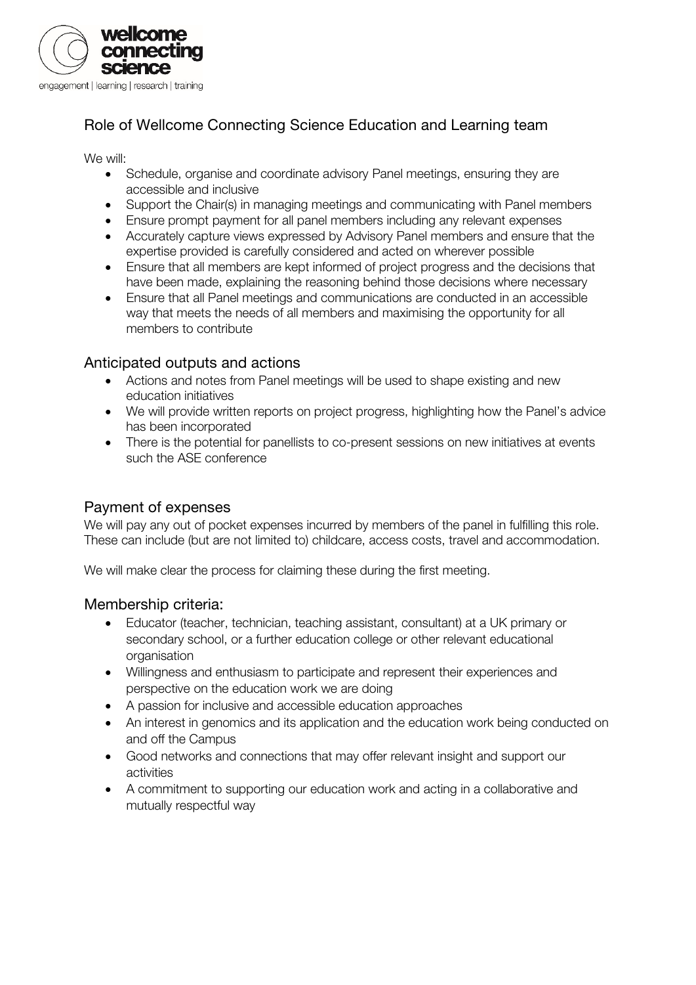

# Role of Wellcome Connecting Science Education and Learning team

We will:

- Schedule, organise and coordinate advisory Panel meetings, ensuring they are accessible and inclusive
- Support the Chair(s) in managing meetings and communicating with Panel members
- Ensure prompt payment for all panel members including any relevant expenses
- Accurately capture views expressed by Advisory Panel members and ensure that the expertise provided is carefully considered and acted on wherever possible
- Ensure that all members are kept informed of project progress and the decisions that have been made, explaining the reasoning behind those decisions where necessary
- Ensure that all Panel meetings and communications are conducted in an accessible way that meets the needs of all members and maximising the opportunity for all members to contribute

#### Anticipated outputs and actions

- Actions and notes from Panel meetings will be used to shape existing and new education initiatives
- We will provide written reports on project progress, highlighting how the Panel's advice has been incorporated
- There is the potential for panellists to co-present sessions on new initiatives at events such the ASE conference

#### Payment of expenses

We will pay any out of pocket expenses incurred by members of the panel in fulfilling this role. These can include (but are not limited to) childcare, access costs, travel and accommodation.

We will make clear the process for claiming these during the first meeting.

#### Membership criteria:

- Educator (teacher, technician, teaching assistant, consultant) at a UK primary or secondary school, or a further education college or other relevant educational organisation
- Willingness and enthusiasm to participate and represent their experiences and perspective on the education work we are doing
- A passion for inclusive and accessible education approaches
- An interest in genomics and its application and the education work being conducted on and off the Campus
- Good networks and connections that may offer relevant insight and support our activities
- A commitment to supporting our education work and acting in a collaborative and mutually respectful way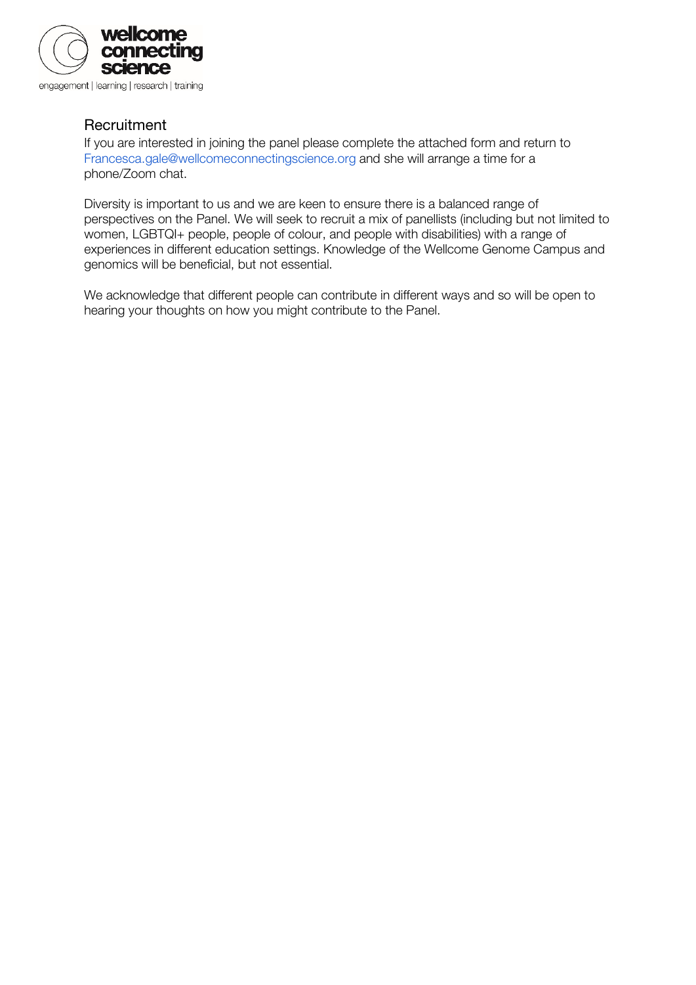

#### **Recruitment**

If you are interested in joining the panel please complete the attached form and return to Francesca.gale@wellcomeconnectingscience.org and she will arrange a time for a phone/Zoom chat.

Diversity is important to us and we are keen to ensure there is a balanced range of perspectives on the Panel. We will seek to recruit a mix of panellists (including but not limited to women, LGBTQI+ people, people of colour, and people with disabilities) with a range of experiences in different education settings. Knowledge of the Wellcome Genome Campus and genomics will be beneficial, but not essential.

We acknowledge that different people can contribute in different ways and so will be open to hearing your thoughts on how you might contribute to the Panel.